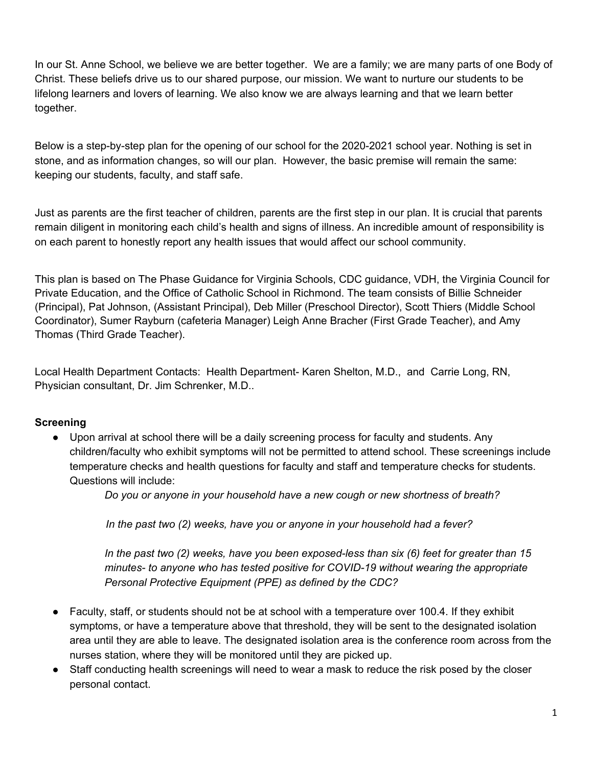In our St. Anne School, we believe we are better together. We are a family; we are many parts of one Body of Christ. These beliefs drive us to our shared purpose, our mission. We want to nurture our students to be lifelong learners and lovers of learning. We also know we are always learning and that we learn better together.

Below is a step-by-step plan for the opening of our school for the 2020-2021 school year. Nothing is set in stone, and as information changes, so will our plan. However, the basic premise will remain the same: keeping our students, faculty, and staff safe.

Just as parents are the first teacher of children, parents are the first step in our plan. It is crucial that parents remain diligent in monitoring each child's health and signs of illness. An incredible amount of responsibility is on each parent to honestly report any health issues that would affect our school community.

This plan is based on The Phase Guidance for Virginia Schools, CDC guidance, VDH, the Virginia Council for Private Education, and the Office of Catholic School in Richmond. The team consists of Billie Schneider (Principal), Pat Johnson, (Assistant Principal), Deb Miller (Preschool Director), Scott Thiers (Middle School Coordinator), Sumer Rayburn (cafeteria Manager) Leigh Anne Bracher (First Grade Teacher), and Amy Thomas (Third Grade Teacher).

Local Health Department Contacts: Health Department- Karen Shelton, M.D., and Carrie Long, RN, Physician consultant, Dr. Jim Schrenker, M.D..

### **Screening**

Upon arrival at school there will be a daily screening process for faculty and students. Any children/faculty who exhibit symptoms will not be permitted to attend school. These screenings include temperature checks and health questions for faculty and staff and temperature checks for students. Questions will include:

*Do you or anyone in your household have a new cough or new shortness of breath?*

*In the past two (2) weeks, have you or anyone in your household had a fever?*

*In the past two (2) weeks, have you been exposed-less than six (6) feet for greater than 15 minutes- to anyone who has tested positive for COVID-19 without wearing the appropriate Personal Protective Equipment (PPE) as defined by the CDC?*

- Faculty, staff, or students should not be at school with a temperature over 100.4. If they exhibit symptoms, or have a temperature above that threshold, they will be sent to the designated isolation area until they are able to leave. The designated isolation area is the conference room across from the nurses station, where they will be monitored until they are picked up.
- Staff conducting health screenings will need to wear a mask to reduce the risk posed by the closer personal contact.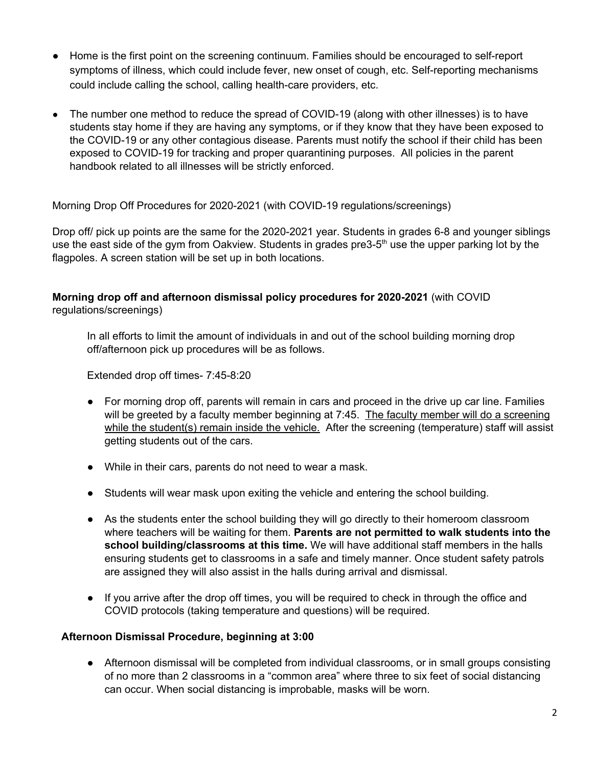- Home is the first point on the screening continuum. Families should be encouraged to self-report symptoms of illness, which could include fever, new onset of cough, etc. Self-reporting mechanisms could include calling the school, calling health-care providers, etc.
- The number one method to reduce the spread of COVID-19 (along with other illnesses) is to have students stay home if they are having any symptoms, or if they know that they have been exposed to the COVID-19 or any other contagious disease. Parents must notify the school if their child has been exposed to COVID-19 for tracking and proper quarantining purposes. All policies in the parent handbook related to all illnesses will be strictly enforced.

Morning Drop Off Procedures for 2020-2021 (with COVID-19 regulations/screenings)

Drop off/ pick up points are the same for the 2020-2021 year. Students in grades 6-8 and younger siblings use the east side of the gym from Oakview. Students in grades pre3-5<sup>th</sup> use the upper parking lot by the flagpoles. A screen station will be set up in both locations.

#### **Morning drop off and afternoon dismissal policy procedures for 2020-2021** (with COVID regulations/screenings)

In all efforts to limit the amount of individuals in and out of the school building morning drop off/afternoon pick up procedures will be as follows.

Extended drop off times- 7:45-8:20

- For morning drop off, parents will remain in cars and proceed in the drive up car line. Families will be greeted by a faculty member beginning at 7:45. The faculty member will do a screening while the student(s) remain inside the vehicle. After the screening (temperature) staff will assist getting students out of the cars.
- While in their cars, parents do not need to wear a mask.
- Students will wear mask upon exiting the vehicle and entering the school building.
- As the students enter the school building they will go directly to their homeroom classroom where teachers will be waiting for them. **Parents are not permitted to walk students into the school building/classrooms at this time.** We will have additional staff members in the halls ensuring students get to classrooms in a safe and timely manner. Once student safety patrols are assigned they will also assist in the halls during arrival and dismissal.
- If you arrive after the drop off times, you will be required to check in through the office and COVID protocols (taking temperature and questions) will be required.

#### **Afternoon Dismissal Procedure, beginning at 3:00**

• Afternoon dismissal will be completed from individual classrooms, or in small groups consisting of no more than 2 classrooms in a "common area" where three to six feet of social distancing can occur. When social distancing is improbable, masks will be worn.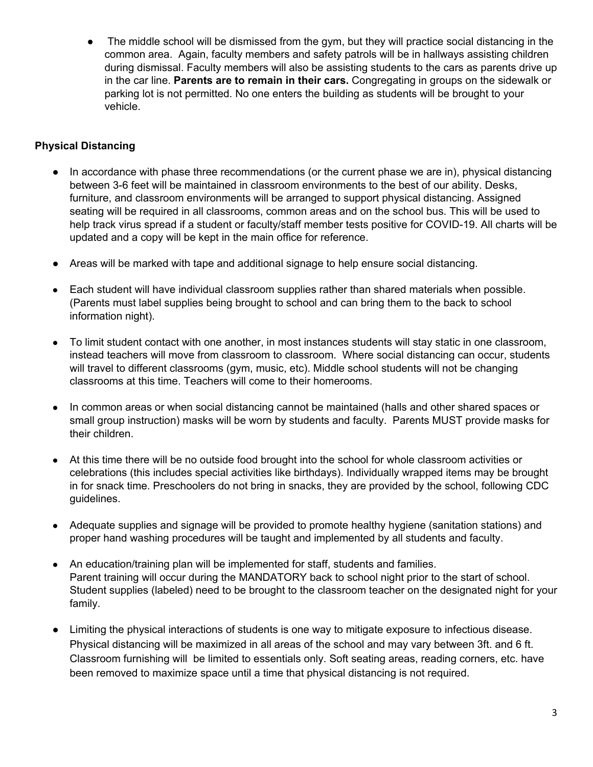The middle school will be dismissed from the gym, but they will practice social distancing in the common area. Again, faculty members and safety patrols will be in hallways assisting children during dismissal. Faculty members will also be assisting students to the cars as parents drive up in the car line. **Parents are to remain in their cars.** Congregating in groups on the sidewalk or parking lot is not permitted. No one enters the building as students will be brought to your vehicle.

# **Physical Distancing**

- In accordance with phase three recommendations (or the current phase we are in), physical distancing between 3-6 feet will be maintained in classroom environments to the best of our ability. Desks, furniture, and classroom environments will be arranged to support physical distancing. Assigned seating will be required in all classrooms, common areas and on the school bus. This will be used to help track virus spread if a student or faculty/staff member tests positive for COVID-19. All charts will be updated and a copy will be kept in the main office for reference.
- Areas will be marked with tape and additional signage to help ensure social distancing.
- Each student will have individual classroom supplies rather than shared materials when possible. (Parents must label supplies being brought to school and can bring them to the back to school information night).
- To limit student contact with one another, in most instances students will stay static in one classroom, instead teachers will move from classroom to classroom. Where social distancing can occur, students will travel to different classrooms (gym, music, etc). Middle school students will not be changing classrooms at this time. Teachers will come to their homerooms.
- In common areas or when social distancing cannot be maintained (halls and other shared spaces or small group instruction) masks will be worn by students and faculty. Parents MUST provide masks for their children.
- At this time there will be no outside food brought into the school for whole classroom activities or celebrations (this includes special activities like birthdays). Individually wrapped items may be brought in for snack time. Preschoolers do not bring in snacks, they are provided by the school, following CDC guidelines.
- Adequate supplies and signage will be provided to promote healthy hygiene (sanitation stations) and proper hand washing procedures will be taught and implemented by all students and faculty.
- An education/training plan will be implemented for staff, students and families. Parent training will occur during the MANDATORY back to school night prior to the start of school. Student supplies (labeled) need to be brought to the classroom teacher on the designated night for your family.
- Limiting the physical interactions of students is one way to mitigate exposure to infectious disease. Physical distancing will be maximized in all areas of the school and may vary between 3ft. and 6 ft. Classroom furnishing will be limited to essentials only. Soft seating areas, reading corners, etc. have been removed to maximize space until a time that physical distancing is not required.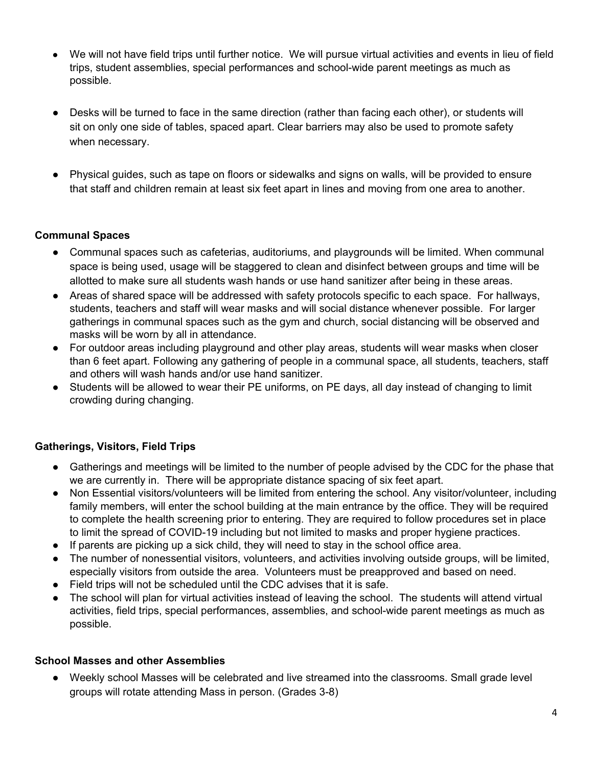- We will not have field trips until further notice. We will pursue virtual activities and events in lieu of field trips, student assemblies, special performances and school-wide parent meetings as much as possible.
- Desks will be turned to face in the same direction (rather than facing each other), or students will sit on only one side of tables, spaced apart. Clear barriers may also be used to promote safety when necessary.
- Physical guides, such as tape on floors or sidewalks and signs on walls, will be provided to ensure that staff and children remain at least six feet apart in lines and moving from one area to another.

### **Communal Spaces**

- Communal spaces such as cafeterias, auditoriums, and playgrounds will be limited. When communal space is being used, usage will be staggered to clean and disinfect between groups and time will be allotted to make sure all students wash hands or use hand sanitizer after being in these areas.
- Areas of shared space will be addressed with safety protocols specific to each space. For hallways, students, teachers and staff will wear masks and will social distance whenever possible. For larger gatherings in communal spaces such as the gym and church, social distancing will be observed and masks will be worn by all in attendance.
- For outdoor areas including playground and other play areas, students will wear masks when closer than 6 feet apart. Following any gathering of people in a communal space, all students, teachers, staff and others will wash hands and/or use hand sanitizer.
- Students will be allowed to wear their PE uniforms, on PE days, all day instead of changing to limit crowding during changing.

### **Gatherings, Visitors, Field Trips**

- Gatherings and meetings will be limited to the number of people advised by the CDC for the phase that we are currently in. There will be appropriate distance spacing of six feet apart.
- Non Essential visitors/volunteers will be limited from entering the school. Any visitor/volunteer, including family members, will enter the school building at the main entrance by the office. They will be required to complete the health screening prior to entering. They are required to follow procedures set in place to limit the spread of COVID-19 including but not limited to masks and proper hygiene practices.
- If parents are picking up a sick child, they will need to stay in the school office area.
- The number of nonessential visitors, volunteers, and activities involving outside groups, will be limited, especially visitors from outside the area. Volunteers must be preapproved and based on need.
- Field trips will not be scheduled until the CDC advises that it is safe.
- The school will plan for virtual activities instead of leaving the school. The students will attend virtual activities, field trips, special performances, assemblies, and school-wide parent meetings as much as possible.

### **School Masses and other Assemblies**

● Weekly school Masses will be celebrated and live streamed into the classrooms. Small grade level groups will rotate attending Mass in person. (Grades 3-8)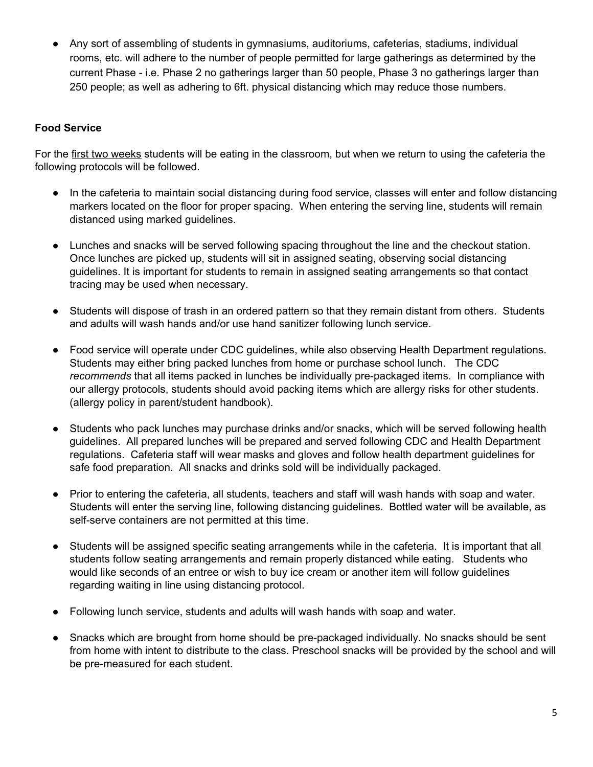Any sort of assembling of students in gymnasiums, auditoriums, cafeterias, stadiums, individual rooms, etc. will adhere to the number of people permitted for large gatherings as determined by the current Phase - i.e. Phase 2 no gatherings larger than 50 people, Phase 3 no gatherings larger than 250 people; as well as adhering to 6ft. physical distancing which may reduce those numbers.

### **Food Service**

For the first two weeks students will be eating in the classroom, but when we return to using the cafeteria the following protocols will be followed.

- In the cafeteria to maintain social distancing during food service, classes will enter and follow distancing markers located on the floor for proper spacing. When entering the serving line, students will remain distanced using marked guidelines.
- Lunches and snacks will be served following spacing throughout the line and the checkout station. Once lunches are picked up, students will sit in assigned seating, observing social distancing guidelines. It is important for students to remain in assigned seating arrangements so that contact tracing may be used when necessary.
- Students will dispose of trash in an ordered pattern so that they remain distant from others. Students and adults will wash hands and/or use hand sanitizer following lunch service.
- Food service will operate under CDC guidelines, while also observing Health Department regulations. Students may either bring packed lunches from home or purchase school lunch. The CDC *recommends* that all items packed in lunches be individually pre-packaged items. In compliance with our allergy protocols, students should avoid packing items which are allergy risks for other students. (allergy policy in parent/student handbook).
- Students who pack lunches may purchase drinks and/or snacks, which will be served following health guidelines. All prepared lunches will be prepared and served following CDC and Health Department regulations. Cafeteria staff will wear masks and gloves and follow health department guidelines for safe food preparation. All snacks and drinks sold will be individually packaged.
- Prior to entering the cafeteria, all students, teachers and staff will wash hands with soap and water. Students will enter the serving line, following distancing guidelines. Bottled water will be available, as self-serve containers are not permitted at this time.
- Students will be assigned specific seating arrangements while in the cafeteria. It is important that all students follow seating arrangements and remain properly distanced while eating. Students who would like seconds of an entree or wish to buy ice cream or another item will follow guidelines regarding waiting in line using distancing protocol.
- Following lunch service, students and adults will wash hands with soap and water.
- Snacks which are brought from home should be pre-packaged individually. No snacks should be sent from home with intent to distribute to the class. Preschool snacks will be provided by the school and will be pre-measured for each student.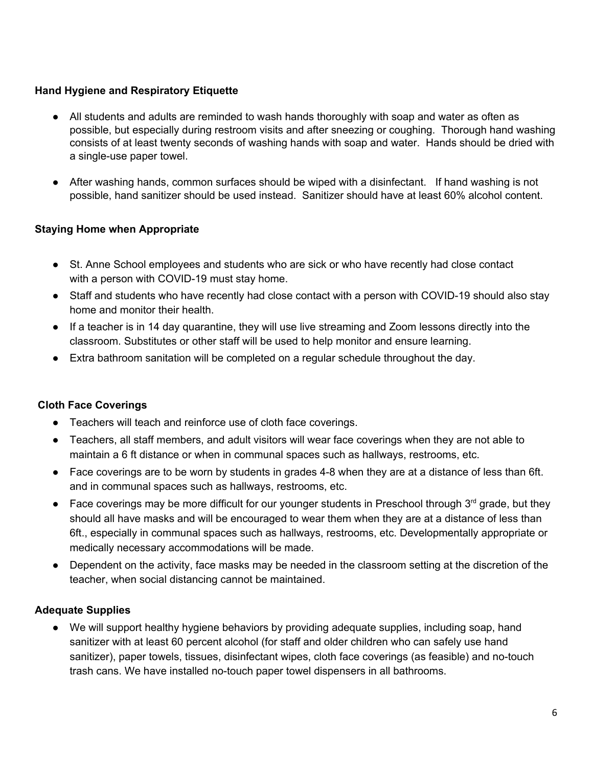### **Hand Hygiene and Respiratory Etiquette**

- All students and adults are reminded to wash hands thoroughly with soap and water as often as possible, but especially during restroom visits and after sneezing or coughing. Thorough hand washing consists of at least twenty seconds of washing hands with soap and water. Hands should be dried with a single-use paper towel.
- After washing hands, common surfaces should be wiped with a disinfectant. If hand washing is not possible, hand sanitizer should be used instead. Sanitizer should have at least 60% alcohol content.

## **Staying Home when Appropriate**

- St. Anne School employees and students who are sick or who have recently had close contact with a person with COVID-19 must stay home.
- Staff and students who have recently had close contact with a person with COVID-19 should also stay home and monitor their health.
- If a teacher is in 14 day quarantine, they will use live streaming and Zoom lessons directly into the classroom. Substitutes or other staff will be used to help monitor and ensure learning.
- Extra bathroom sanitation will be completed on a regular schedule throughout the day.

### **Cloth Face Coverings**

- Teachers will teach and reinforce use of cloth face coverings.
- Teachers, all staff members, and adult visitors will wear face coverings when they are not able to maintain a 6 ft distance or when in communal spaces such as hallways, restrooms, etc.
- Face coverings are to be worn by students in grades 4-8 when they are at a distance of less than 6ft. and in communal spaces such as hallways, restrooms, etc.
- $\bullet$  Face coverings may be more difficult for our younger students in Preschool through  $3<sup>rd</sup>$  grade, but they should all have masks and will be encouraged to wear them when they are at a distance of less than 6ft., especially in communal spaces such as hallways, restrooms, etc. Developmentally appropriate or medically necessary accommodations will be made.
- Dependent on the activity, face masks may be needed in the classroom setting at the discretion of the teacher, when social distancing cannot be maintained.

### **Adequate Supplies**

● We will support healthy hygiene behaviors by providing adequate supplies, including soap, hand sanitizer with at least 60 percent alcohol (for staff and older children who can safely use hand sanitizer), paper towels, tissues, disinfectant wipes, cloth face coverings (as feasible) and no-touch trash cans. We have installed no-touch paper towel dispensers in all bathrooms.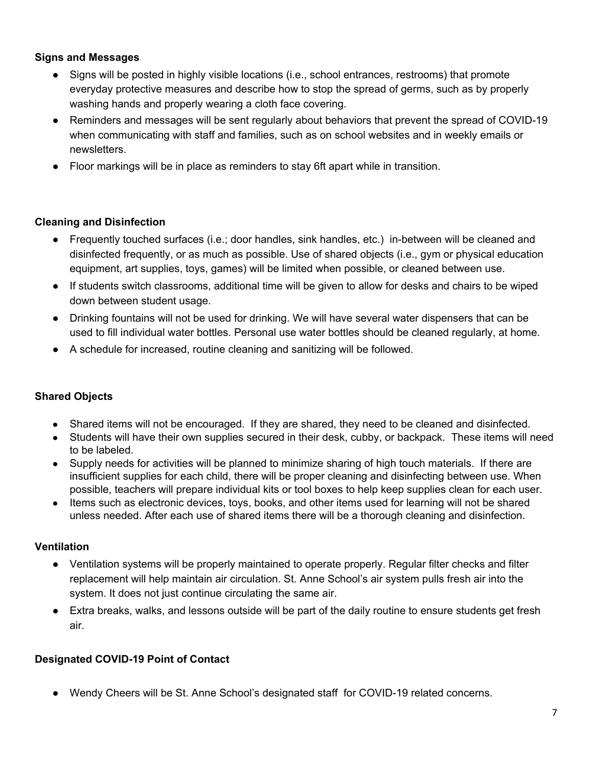#### **Signs and Messages**

- Signs will be posted in highly visible locations (i.e., school entrances, restrooms) that promote everyday protective measures and describe how to stop the spread of germs, such as by properly washing hands and properly wearing a cloth face covering.
- Reminders and messages will be sent regularly about behaviors that prevent the spread of COVID-19 when communicating with staff and families, such as on school websites and in weekly emails or newsletters.
- Floor markings will be in place as reminders to stay 6ft apart while in transition.

### **Cleaning and Disinfection**

- Frequently touched surfaces (i.e.; door handles, sink handles, etc.) in-between will be cleaned and disinfected frequently, or as much as possible. Use of shared objects (i.e., gym or physical education equipment, art supplies, toys, games) will be limited when possible, or cleaned between use.
- If students switch classrooms, additional time will be given to allow for desks and chairs to be wiped down between student usage.
- Drinking fountains will not be used for drinking. We will have several water dispensers that can be used to fill individual water bottles. Personal use water bottles should be cleaned regularly, at home.
- A schedule for increased, routine cleaning and sanitizing will be followed.

### **Shared Objects**

- **●** Shared items will not be encouraged. If they are shared, they need to be cleaned and disinfected.
- **●** Students will have their own supplies secured in their desk, cubby, or backpack. These items will need to be labeled.
- **●** Supply needs for activities will be planned to minimize sharing of high touch materials. If there are insufficient supplies for each child, there will be proper cleaning and disinfecting between use. When possible, teachers will prepare individual kits or tool boxes to help keep supplies clean for each user.
- **●** Items such as electronic devices, toys, books, and other items used for learning will not be shared unless needed. After each use of shared items there will be a thorough cleaning and disinfection.

#### **Ventilation**

- Ventilation systems will be properly maintained to operate properly. Regular filter checks and filter replacement will help maintain air circulation. St. Anne School's air system pulls fresh air into the system. It does not just continue circulating the same air.
- Extra breaks, walks, and lessons outside will be part of the daily routine to ensure students get fresh air.

### **Designated COVID-19 Point of Contact**

Wendy Cheers will be St. Anne School's designated staff for COVID-19 related concerns.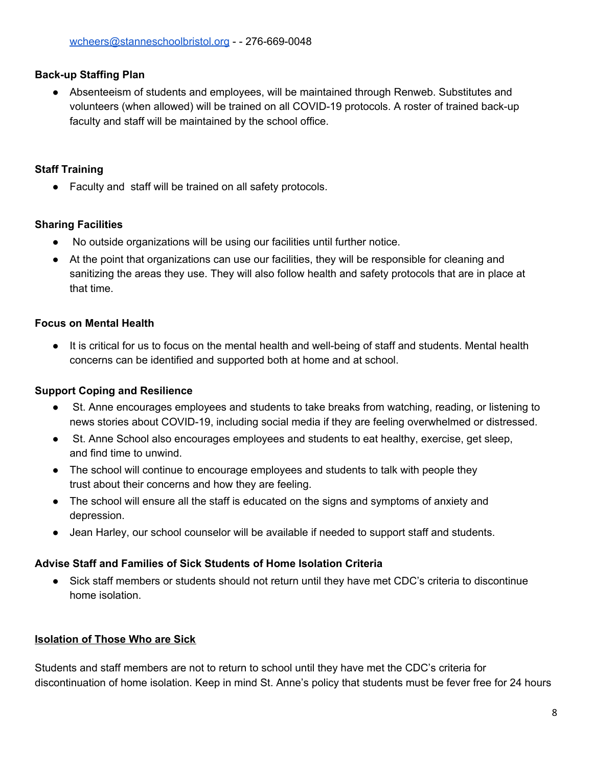### **Back-up Staffing Plan**

● Absenteeism of students and employees, will be maintained through Renweb. Substitutes and volunteers (when allowed) will be trained on all COVID-19 protocols. A roster of trained back-up faculty and staff will be maintained by the school office.

## **Staff Training**

Faculty and staff will be trained on all safety protocols.

## **Sharing Facilities**

- No outside organizations will be using our facilities until further notice.
- At the point that organizations can use our facilities, they will be responsible for cleaning and sanitizing the areas they use. They will also follow health and safety protocols that are in place at that time.

# **Focus on Mental Health**

● It is critical for us to focus on the mental health and well-being of staff and students. Mental health concerns can be identified and supported both at home and at school.

# **Support Coping and Resilience**

- St. Anne encourages employees and students to take breaks from watching, reading, or listening to news stories about COVID-19, including social media if they are feeling overwhelmed or distressed.
- St. Anne School also encourages employees and students to eat healthy, exercise, get sleep, and find time to unwind.
- The school will continue to encourage employees and students to talk with people they trust about their concerns and how they are feeling.
- The school will ensure all the staff is educated on the signs and symptoms of anxiety and depression.
- Jean Harley, our school counselor will be available if needed to support staff and students.

### **Advise Staff and Families of Sick Students of Home Isolation Criteria**

• Sick staff members or students should not return until they have met CDC's criteria to discontinue home isolation.

# **Isolation of Those Who are Sick**

Students and staff members are not to return to school until they have met the CDC's criteria for discontinuation of home isolation. Keep in mind St. Anne's policy that students must be fever free for 24 hours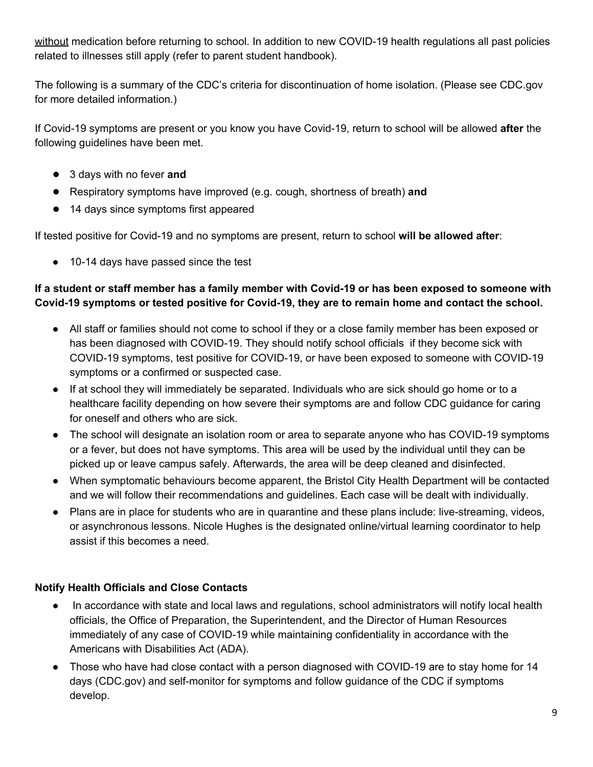without medication before returning to school. In addition to new COVID-19 health regulations all past policies related to illnesses still apply (refer to parent student handbook).

The following is a summary of the CDC's criteria for discontinuation of home isolation. (Please see CDC.gov for more detailed information.)

If Covid-19 symptoms are present or you know you have Covid-19, return to school will be allowed **after** the following guidelines have been met.

- 3 days with no fever **and**
- Respiratory symptoms have improved (e.g. cough, shortness of breath) **and**
- 14 days since symptoms first appeared

If tested positive for Covid-19 and no symptoms are present, return to school **will be allowed after**:

● 10-14 days have passed since the test

# If a student or staff member has a family member with Covid-19 or has been exposed to someone with **Covid-19 symptoms or tested positive for Covid-19, they are to remain home and contact the school.**

- All staff or families should not come to school if they or a close family member has been exposed or has been diagnosed with COVID-19. They should notify school officials if they become sick with COVID-19 symptoms, test positive for COVID-19, or have been exposed to someone with COVID-19 symptoms or a confirmed or suspected case.
- If at school they will immediately be separated. Individuals who are sick should go home or to a healthcare facility depending on how severe their symptoms are and follow CDC guidance for caring for oneself and others who are sick.
- The school will designate an isolation room or area to separate anyone who has COVID-19 symptoms or a fever, but does not have symptoms. This area will be used by the individual until they can be picked up or leave campus safely. Afterwards, the area will be deep cleaned and disinfected.
- When symptomatic behaviours become apparent, the Bristol City Health Department will be contacted and we will follow their recommendations and guidelines. Each case will be dealt with individually.
- Plans are in place for students who are in quarantine and these plans include: live-streaming, videos, or asynchronous lessons. Nicole Hughes is the designated online/virtual learning coordinator to help assist if this becomes a need.

# **Notify Health Officials and Close Contacts**

- In accordance with state and local laws and regulations, school administrators will notify local health officials, the Office of Preparation, the Superintendent, and the Director of Human Resources immediately of any case of COVID-19 while maintaining confidentiality in accordance with the Americans with Disabilities Act (ADA).
- Those who have had close contact with a person diagnosed with COVID-19 are to stay home for 14 days (CDC.gov) and self-monitor for symptoms and follow guidance of the CDC if symptoms develop.